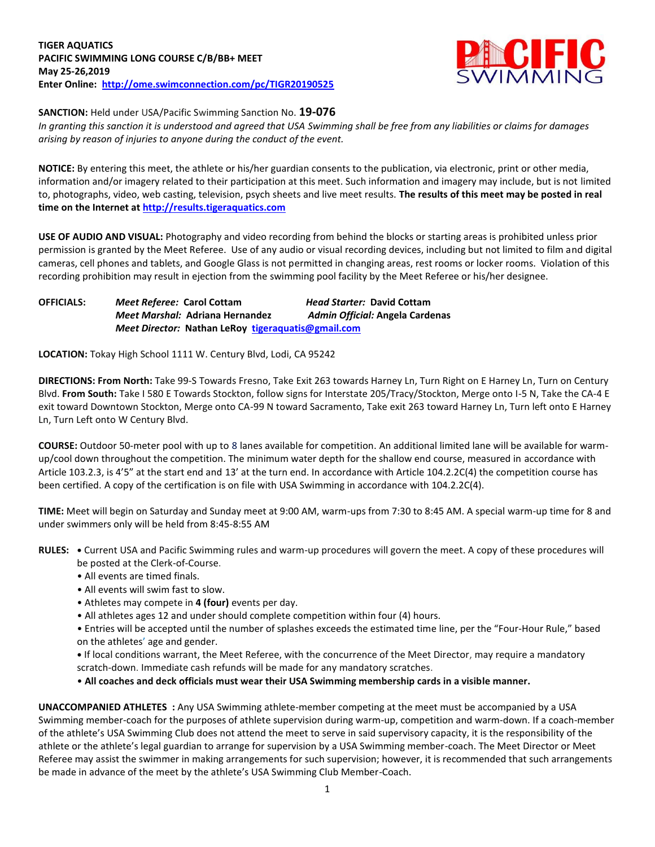

**SANCTION:** Held under USA/Pacific Swimming Sanction No. **19-076**

*In granting this sanction it is understood and agreed that USA Swimming shall be free from any liabilities or claims for damages arising by reason of injuries to anyone during the conduct of the event.*

**NOTICE:** By entering this meet, the athlete or his/her guardian consents to the publication, via electronic, print or other media, information and/or imagery related to their participation at this meet. Such information and imagery may include, but is not limited to, photographs, video, web casting, television, psych sheets and live meet results. **The results of this meet may be posted in real time on the Internet at [http://results.tigeraquatics.com](http://results.tigeraquatics.com/)**

**USE OF AUDIO AND VISUAL:** Photography and video recording from behind the blocks or starting areas is prohibited unless prior permission is granted by the Meet Referee. Use of any audio or visual recording devices, including but not limited to film and digital cameras, cell phones and tablets, and Google Glass is not permitted in changing areas, rest rooms or locker rooms. Violation of this recording prohibition may result in ejection from the swimming pool facility by the Meet Referee or his/her designee.

**OFFICIALS:** *Meet Referee:* **Carol Cottam** *Head Starter:* **David Cottam** *Meet Marshal:* **Adriana Hernandez** *Admin Official:* **Angela Cardenas** *Meet Director:* **Nathan LeRoy [tigeraquatis@gmail.com](mailto:tigeraquatis@gmail.com)**

**LOCATION:** Tokay High School 1111 W. Century Blvd, Lodi, CA 95242

**DIRECTIONS: From North:** Take 99-S Towards Fresno, Take Exit 263 towards Harney Ln, Turn Right on E Harney Ln, Turn on Century Blvd. **From South:** Take I 580 E Towards Stockton, follow signs for Interstate 205/Tracy/Stockton, Merge onto I-5 N, Take the CA-4 E exit toward Downtown Stockton, Merge onto CA-99 N toward Sacramento, Take exit 263 toward Harney Ln, Turn left onto E Harney Ln, Turn Left onto W Century Blvd.

**COURSE:** Outdoor 50-meter pool with up to 8 lanes available for competition. An additional limited lane will be available for warmup/cool down throughout the competition. The minimum water depth for the shallow end course, measured in accordance with Article 103.2.3, is 4'5" at the start end and 13' at the turn end. In accordance with Article 104.2.2C(4) the competition course has been certified. A copy of the certification is on file with USA Swimming in accordance with 104.2.2C(4).

**TIME:** Meet will begin on Saturday and Sunday meet at 9:00 AM, warm-ups from 7:30 to 8:45 AM. A special warm-up time for 8 and under swimmers only will be held from 8:45-8:55 AM

**RULES: •** Current USA and Pacific Swimming rules and warm-up procedures will govern the meet. A copy of these procedures will be posted at the Clerk-of-Course.

- All events are timed finals.
- All events will swim fast to slow.
- Athletes may compete in **4 (four)** events per day.
- All athletes ages 12 and under should complete competition within four (4) hours.

• Entries will be accepted until the number of splashes exceeds the estimated time line, per the "Four-Hour Rule," based on the athletes' age and gender.

**•** If local conditions warrant, the Meet Referee, with the concurrence of the Meet Director, may require a mandatory scratch-down. Immediate cash refunds will be made for any mandatory scratches.

• **All coaches and deck officials must wear their USA Swimming membership cards in a visible manner.** 

**UNACCOMPANIED ATHLETES :** Any USA Swimming athlete-member competing at the meet must be accompanied by a USA Swimming member-coach for the purposes of athlete supervision during warm-up, competition and warm-down. If a coach-member of the athlete's USA Swimming Club does not attend the meet to serve in said supervisory capacity, it is the responsibility of the athlete or the athlete's legal guardian to arrange for supervision by a USA Swimming member-coach. The Meet Director or Meet Referee may assist the swimmer in making arrangements for such supervision; however, it is recommended that such arrangements be made in advance of the meet by the athlete's USA Swimming Club Member-Coach.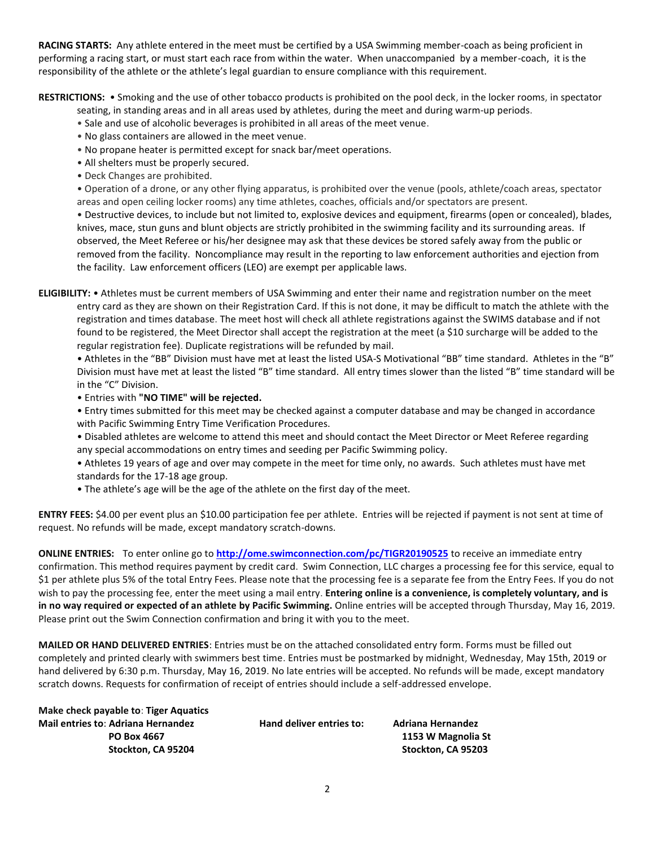**RACING STARTS:** Any athlete entered in the meet must be certified by a USA Swimming member-coach as being proficient in performing a racing start, or must start each race from within the water. When unaccompanied by a member-coach, it is the responsibility of the athlete or the athlete's legal guardian to ensure compliance with this requirement.

**RESTRICTIONS:** • Smoking and the use of other tobacco products is prohibited on the pool deck, in the locker rooms, in spectator

- seating, in standing areas and in all areas used by athletes, during the meet and during warm-up periods.
- Sale and use of alcoholic beverages is prohibited in all areas of the meet venue.
- No glass containers are allowed in the meet venue.
- No propane heater is permitted except for snack bar/meet operations.
- All shelters must be properly secured.
- Deck Changes are prohibited.

• Operation of a drone, or any other flying apparatus, is prohibited over the venue (pools, athlete/coach areas, spectator areas and open ceiling locker rooms) any time athletes, coaches, officials and/or spectators are present.

• Destructive devices, to include but not limited to, explosive devices and equipment, firearms (open or concealed), blades, knives, mace, stun guns and blunt objects are strictly prohibited in the swimming facility and its surrounding areas. If observed, the Meet Referee or his/her designee may ask that these devices be stored safely away from the public or removed from the facility. Noncompliance may result in the reporting to law enforcement authorities and ejection from the facility. Law enforcement officers (LEO) are exempt per applicable laws.

**ELIGIBILITY:** • Athletes must be current members of USA Swimming and enter their name and registration number on the meet entry card as they are shown on their Registration Card. If this is not done, it may be difficult to match the athlete with the registration and times database. The meet host will check all athlete registrations against the SWIMS database and if not found to be registered, the Meet Director shall accept the registration at the meet (a \$10 surcharge will be added to the regular registration fee). Duplicate registrations will be refunded by mail.

• Athletes in the "BB" Division must have met at least the listed USA-S Motivational "BB" time standard. Athletes in the "B" Division must have met at least the listed "B" time standard. All entry times slower than the listed "B" time standard will be in the "C" Division.

- Entries with **"NO TIME" will be rejected.**
- Entry times submitted for this meet may be checked against a computer database and may be changed in accordance with Pacific Swimming Entry Time Verification Procedures.
- Disabled athletes are welcome to attend this meet and should contact the Meet Director or Meet Referee regarding any special accommodations on entry times and seeding per Pacific Swimming policy.

• Athletes 19 years of age and over may compete in the meet for time only, no awards. Such athletes must have met standards for the 17-18 age group.

• The athlete's age will be the age of the athlete on the first day of the meet.

**ENTRY FEES:** \$4.00 per event plus an \$10.00 participation fee per athlete. Entries will be rejected if payment is not sent at time of request. No refunds will be made, except mandatory scratch-downs.

**ONLINE ENTRIES:** To enter online go to **<http://ome.swimconnection.com/pc/TIGR20190525>** to receive an immediate entry confirmation. This method requires payment by credit card. Swim Connection, LLC charges a processing fee for this service, equal to \$1 per athlete plus 5% of the total Entry Fees. Please note that the processing fee is a separate fee from the Entry Fees. If you do not wish to pay the processing fee, enter the meet using a mail entry. **Entering online is a convenience, is completely voluntary, and is in no way required or expected of an athlete by Pacific Swimming.** Online entries will be accepted through Thursday, May 16, 2019. Please print out the Swim Connection confirmation and bring it with you to the meet.

**MAILED OR HAND DELIVERED ENTRIES**: Entries must be on the attached consolidated entry form. Forms must be filled out completely and printed clearly with swimmers best time. Entries must be postmarked by midnight, Wednesday, May 15th, 2019 or hand delivered by 6:30 p.m. Thursday, May 16, 2019. No late entries will be accepted. No refunds will be made, except mandatory scratch downs. Requests for confirmation of receipt of entries should include a self-addressed envelope.

| Make check payable to: Tiger Aquatics     |                          |                          |
|-------------------------------------------|--------------------------|--------------------------|
| <b>Mail entries to: Adriana Hernandez</b> | Hand deliver entries to: | <b>Adriana Hernandez</b> |
| <b>PO Box 4667</b>                        |                          | 1153 W Magnolia St       |
| Stockton. CA 95204                        |                          | Stockton. CA 95203       |
|                                           |                          |                          |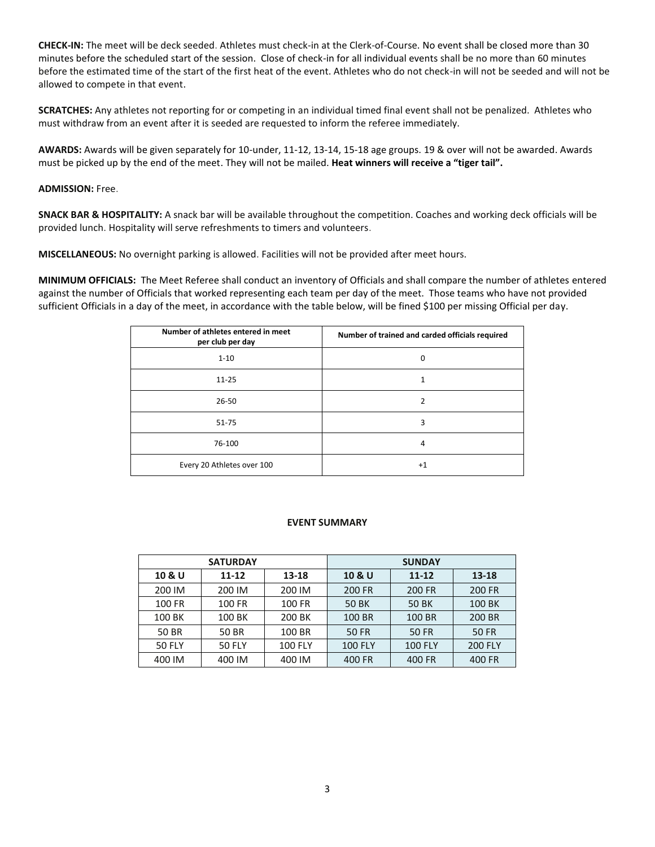**CHECK-IN:** The meet will be deck seeded. Athletes must check-in at the Clerk-of-Course. No event shall be closed more than 30 minutes before the scheduled start of the session. Close of check-in for all individual events shall be no more than 60 minutes before the estimated time of the start of the first heat of the event. Athletes who do not check-in will not be seeded and will not be allowed to compete in that event.

**SCRATCHES:** Any athletes not reporting for or competing in an individual timed final event shall not be penalized. Athletes who must withdraw from an event after it is seeded are requested to inform the referee immediately.

**AWARDS:** Awards will be given separately for 10-under, 11-12, 13-14, 15-18 age groups. 19 & over will not be awarded. Awards must be picked up by the end of the meet. They will not be mailed. **Heat winners will receive a "tiger tail".**

## **ADMISSION:** Free.

**SNACK BAR & HOSPITALITY:** A snack bar will be available throughout the competition. Coaches and working deck officials will be provided lunch. Hospitality will serve refreshments to timers and volunteers.

**MISCELLANEOUS:** No overnight parking is allowed. Facilities will not be provided after meet hours.

**MINIMUM OFFICIALS:** The Meet Referee shall conduct an inventory of Officials and shall compare the number of athletes entered against the number of Officials that worked representing each team per day of the meet. Those teams who have not provided sufficient Officials in a day of the meet, in accordance with the table below, will be fined \$100 per missing Official per day.

| Number of athletes entered in meet<br>per club per day | Number of trained and carded officials required |
|--------------------------------------------------------|-------------------------------------------------|
| $1 - 10$                                               | 0                                               |
| $11 - 25$                                              |                                                 |
| $26 - 50$                                              | $\mathcal{P}$                                   |
| $51 - 75$                                              | 3                                               |
| 76-100                                                 | 4                                               |
| Every 20 Athletes over 100                             | $^{+1}$                                         |

## **EVENT SUMMARY**

|               | <b>SATURDAY</b> |                | <b>SUNDAY</b>  |                |                |  |  |
|---------------|-----------------|----------------|----------------|----------------|----------------|--|--|
| 10 & U        | 11-12<br>13-18  |                | 10 & U         | $11 - 12$      | 13-18          |  |  |
| 200 IM        | 200 IM          | 200 IM         | 200 FR         | 200 FR         | 200 FR         |  |  |
| 100 FR        | 100 FR          | 100 FR         | 50 BK          | 50 BK          | 100 BK         |  |  |
| 100 BK        | 100 BK          | 200 BK         | 100 BR         | 100 BR         | 200 BR         |  |  |
| 50 BR         | 50 BR           | 100 BR         | <b>50 FR</b>   | <b>50 FR</b>   | <b>50 FR</b>   |  |  |
| <b>50 FLY</b> | <b>50 FLY</b>   | <b>100 FLY</b> | <b>100 FLY</b> | <b>100 FLY</b> | <b>200 FLY</b> |  |  |
| 400 IM        | 400 IM          | 400 IM         | 400 FR         | 400 FR         | 400 FR         |  |  |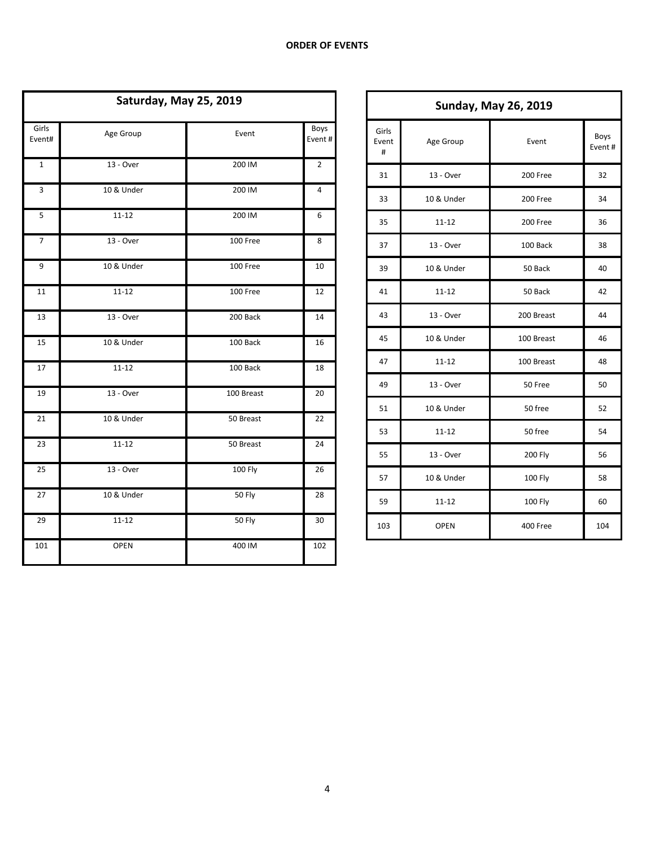| Saturday, May 25, 2019 |             |            |                |  |  |  |  |
|------------------------|-------------|------------|----------------|--|--|--|--|
| Girls<br>Event#        | Age Group   | Event      | Boys<br>Event# |  |  |  |  |
| $\mathbf 1$            | 13 - Over   | 200 IM     | $\overline{2}$ |  |  |  |  |
| 3                      | 10 & Under  | 200 IM     | 4              |  |  |  |  |
| 5                      | $11 - 12$   | 200 IM     | 6              |  |  |  |  |
| 7                      | 13 - Over   | 100 Free   | 8              |  |  |  |  |
| 9                      | 10 & Under  | 100 Free   | 10             |  |  |  |  |
| 11                     | $11 - 12$   | 100 Free   | 12             |  |  |  |  |
| 13                     | 13 - Over   | 200 Back   | 14             |  |  |  |  |
| 15                     | 10 & Under  | 100 Back   | 16             |  |  |  |  |
| 17                     | $11 - 12$   | 100 Back   | 18             |  |  |  |  |
| 19                     | 13 - Over   | 100 Breast | 20             |  |  |  |  |
| 21                     | 10 & Under  | 50 Breast  | 22             |  |  |  |  |
| 23                     | $11 - 12$   | 50 Breast  | 24             |  |  |  |  |
| 25                     | 13 - Over   | $100$ Fly  | 26             |  |  |  |  |
| 27                     | 10 & Under  | 50 Fly     | 28             |  |  |  |  |
| 29                     | $11 - 12$   | 50 Fly     | 30             |  |  |  |  |
| 101                    | <b>OPEN</b> | 400 IM     | 102            |  |  |  |  |

| <b>Sunday, May 26, 2019</b> |             |                |                |  |  |  |  |
|-----------------------------|-------------|----------------|----------------|--|--|--|--|
| Girls<br>Event<br>#         | Age Group   | Event          | Boys<br>Event# |  |  |  |  |
| 31                          | 13 - Over   | 200 Free       | 32             |  |  |  |  |
| 33                          | 10 & Under  | 200 Free       | 34             |  |  |  |  |
| 35                          | $11 - 12$   | 200 Free       | 36             |  |  |  |  |
| 37                          | 13 - Over   | 100 Back       | 38             |  |  |  |  |
| 39                          | 10 & Under  | 50 Back        | 40             |  |  |  |  |
| 41                          | $11 - 12$   | 50 Back        | 42             |  |  |  |  |
| 43                          | 13 - Over   | 200 Breast     | 44             |  |  |  |  |
| 45                          | 10 & Under  | 100 Breast     | 46             |  |  |  |  |
| 47                          | $11 - 12$   | 100 Breast     | 48             |  |  |  |  |
| 49                          | 13 - Over   | 50 Free        | 50             |  |  |  |  |
| 51                          | 10 & Under  | 50 free        | 52             |  |  |  |  |
| 53                          | 11-12       | 50 free        | 54             |  |  |  |  |
| 55                          | 13 - Over   | <b>200 Fly</b> | 56             |  |  |  |  |
| 57                          | 10 & Under  | <b>100 Fly</b> | 58             |  |  |  |  |
| 59                          | $11 - 12$   | <b>100 Fly</b> | 60             |  |  |  |  |
| 103                         | <b>OPEN</b> | 400 Free       | 104            |  |  |  |  |